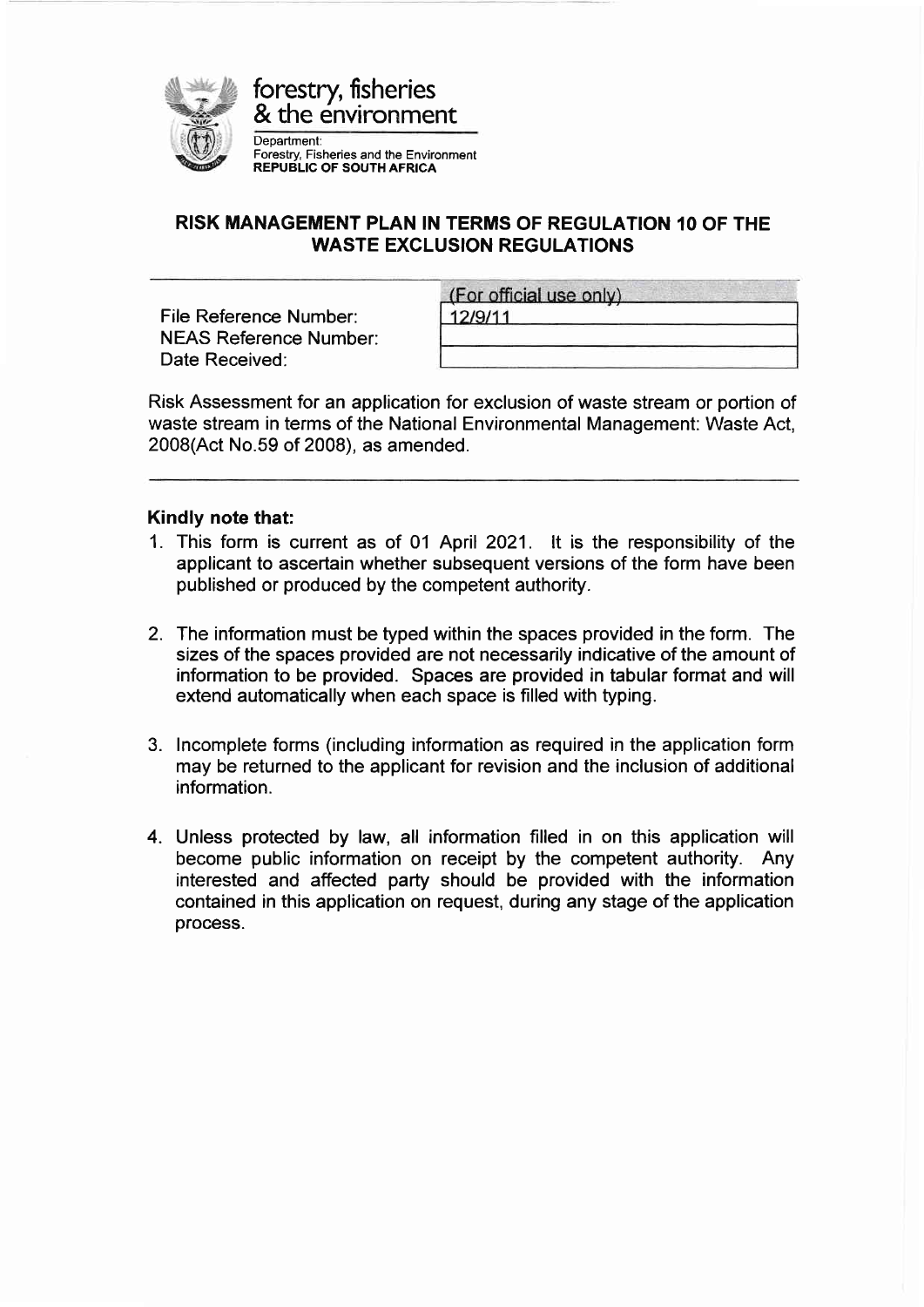

## RISK MANAGEMENT PLAN IN TERMS OF REGULATION 10 OF THE WASTE EXCLUSION REGULATIONS

File Reference Number: NEAS Reference Number: Date Received:

|         | (For official use only) |  |
|---------|-------------------------|--|
| 12/9/11 |                         |  |
|         |                         |  |

Risk Assessment for an application for exclusion of waste stream or portion of waste stream in terms of the National Environmental Management: Waste Act, 2008(Act No.59 of 2008), as amended.

## Kindly note that:

- 1. This form is current as of 01 April 2021. lt is the responsibility of the applicant to ascertain whether subsequent versions of the form have been published or produced by the competent authority.
- 2. The information must be typed within the spaces provided in the form. The sizes of the spaces provided are not necessarily indicative of the amount of information to be provided. Spaces are provided in tabular format and will extend automatically when each space is filled with typing.
- 3. lncomplete forms (including information as required in the application form may be returned to the applicant for revision and the inclusion of additional information.
- 4. Unless protected by law, all information filled in on this application will become public information on receipt by the competent authority. Any interested and affected party should be provided with the information contained in this application on request, during any stage of the application process.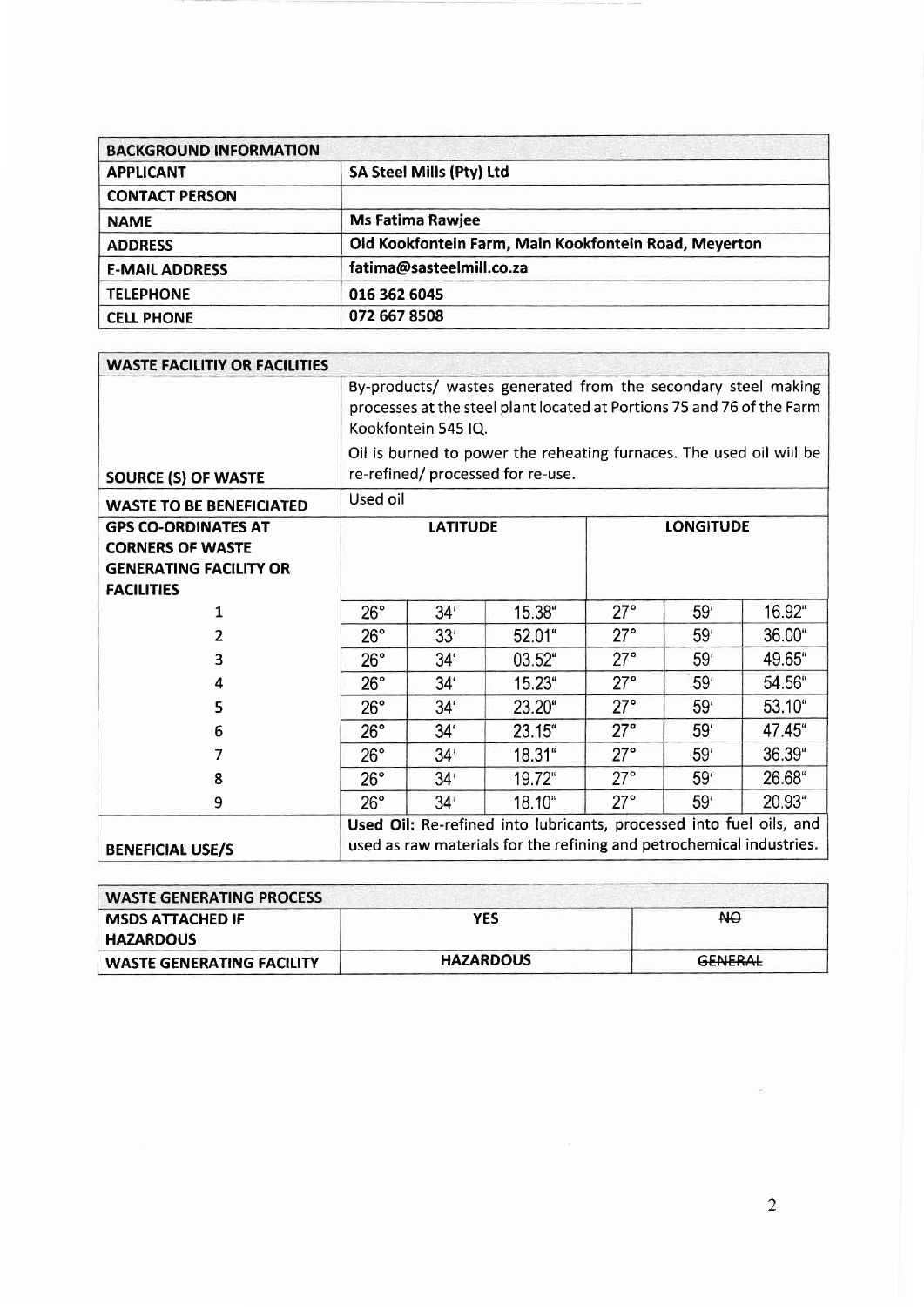| <b>BACKGROUND INFORMATION</b> |                                                       |
|-------------------------------|-------------------------------------------------------|
| <b>APPLICANT</b>              | SA Steel Mills (Pty) Ltd                              |
| <b>CONTACT PERSON</b>         |                                                       |
| <b>NAME</b>                   | <b>Ms Fatima Rawjee</b>                               |
| <b>ADDRESS</b>                | Old Kookfontein Farm, Main Kookfontein Road, Meyerton |
| <b>E-MAIL ADDRESS</b>         | fatima@sasteelmill.co.za                              |
| <b>TELEPHONE</b>              | 016 362 6045                                          |
| <b>CELL PHONE</b>             | 072 667 8508                                          |

| <b>WASTE FACILITIY OR FACILITIES</b>                                                                        |                                                                                                                                                                |                 |                                                                                                                                             |            |                  |        |
|-------------------------------------------------------------------------------------------------------------|----------------------------------------------------------------------------------------------------------------------------------------------------------------|-----------------|---------------------------------------------------------------------------------------------------------------------------------------------|------------|------------------|--------|
|                                                                                                             | By-products/ wastes generated from the secondary steel making<br>processes at the steel plant located at Portions 75 and 76 of the Farm<br>Kookfontein 545 IQ. |                 |                                                                                                                                             |            |                  |        |
| <b>SOURCE (S) OF WASTE</b>                                                                                  |                                                                                                                                                                |                 | Oil is burned to power the reheating furnaces. The used oil will be<br>re-refined/processed for re-use.                                     |            |                  |        |
| <b>WASTE TO BE BENEFICIATED</b>                                                                             | Used oil                                                                                                                                                       |                 |                                                                                                                                             |            |                  |        |
| <b>GPS CO-ORDINATES AT</b><br><b>CORNERS OF WASTE</b><br><b>GENERATING FACILITY OR</b><br><b>FACILITIES</b> |                                                                                                                                                                | <b>LATITUDE</b> |                                                                                                                                             |            | <b>LONGITUDE</b> |        |
| 1                                                                                                           | $26^{\circ}$                                                                                                                                                   | $34^{\circ}$    | 15.38"                                                                                                                                      | $27^\circ$ | 59 <sup>°</sup>  | 16.92" |
| 2                                                                                                           | $26^\circ$                                                                                                                                                     | 33 <sup>1</sup> | 52.01"                                                                                                                                      | $27^\circ$ | 59 <sup>°</sup>  | 36.00" |
| 3                                                                                                           | 26°                                                                                                                                                            | 34 <sup>′</sup> | $03.52$ "                                                                                                                                   | $27^\circ$ | 59 <sup>°</sup>  | 49.65" |
| 4                                                                                                           | $26^\circ$                                                                                                                                                     | 34 <sup>′</sup> | 15.23"                                                                                                                                      | $27^\circ$ | 59 <sup>°</sup>  | 54.56" |
| 5                                                                                                           | $26^\circ$                                                                                                                                                     | 34 <sup>′</sup> | 23.20"                                                                                                                                      | $27^\circ$ | 59 <sup>°</sup>  | 53.10" |
| 6                                                                                                           | $26^\circ$                                                                                                                                                     | 34 <sup>′</sup> | 23.15"                                                                                                                                      | 27°        | 59 <sup>'</sup>  | 47.45" |
| 7                                                                                                           | 26°                                                                                                                                                            | 34 <sup>1</sup> | $18.31$ "                                                                                                                                   | $27^\circ$ | 59 <sup>°</sup>  | 36.39" |
| 8                                                                                                           | $26^\circ$                                                                                                                                                     | 34 <sup>t</sup> | 19.72"                                                                                                                                      | $27^\circ$ | $59^\circ$       | 26.68" |
| 9                                                                                                           | $26^\circ$                                                                                                                                                     | 34 <sup>°</sup> | 18.10"                                                                                                                                      | $27^\circ$ | 59 <sup>°</sup>  | 20.93" |
| <b>BENEFICIAL USE/S</b>                                                                                     |                                                                                                                                                                |                 | Used Oil: Re-refined into lubricants, processed into fuel oils, and<br>used as raw materials for the refining and petrochemical industries. |            |                  |        |

| <b>WASTE GENERATING PROCESS</b>  |                  |                |  |
|----------------------------------|------------------|----------------|--|
| <b>MSDS ATTACHED IF</b>          | <b>YES</b>       | <b>NO</b>      |  |
| <b>HAZARDOUS</b>                 |                  |                |  |
| <b>WASTE GENERATING FACILITY</b> | <b>HAZARDOUS</b> | <b>GENERAL</b> |  |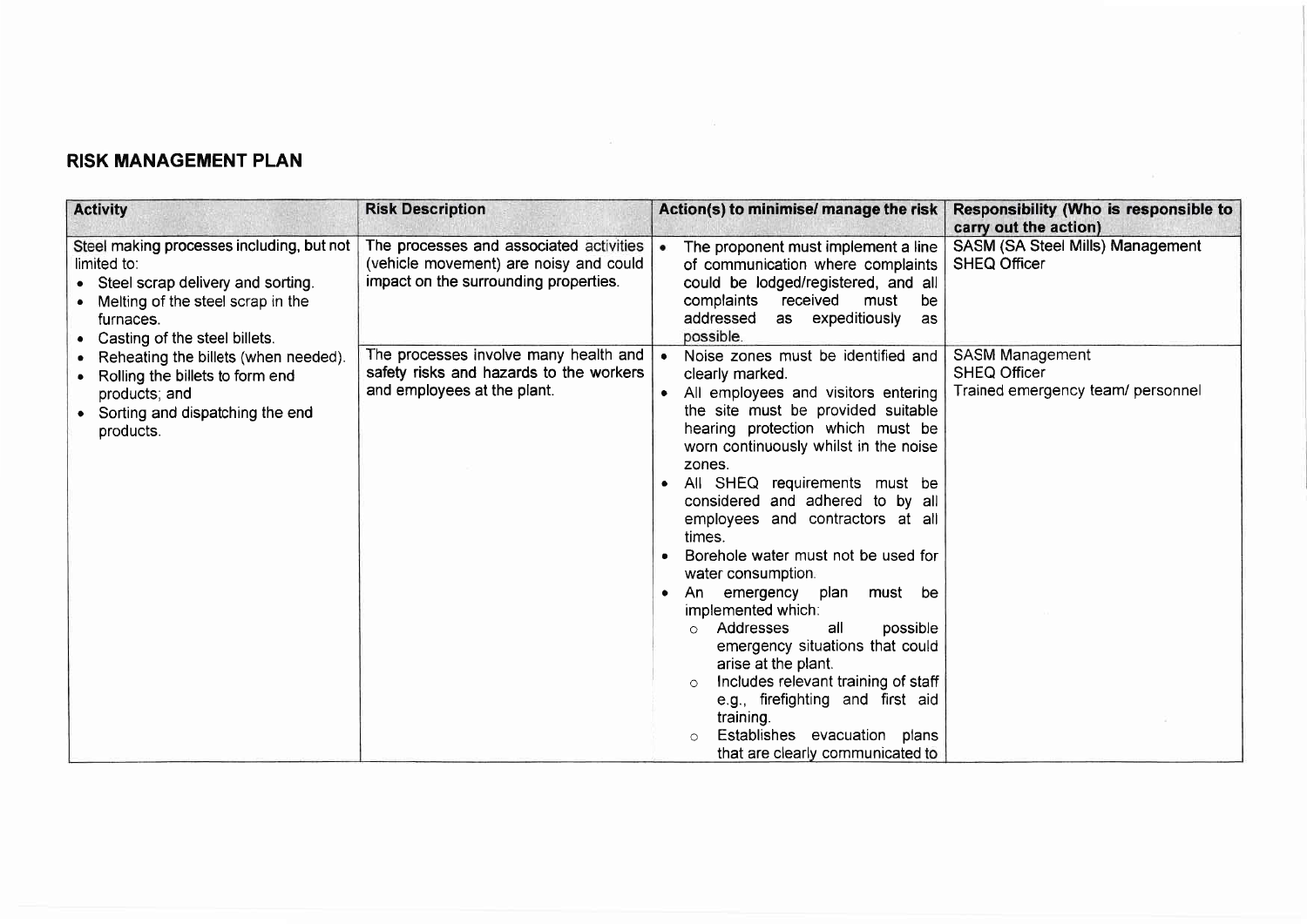## RISK MANAGEMENT PLAN

| <b>Activity</b>                                                                                                                                                                  | <b>Risk Description</b>                                                                                                    | Action(s) to minimise/ manage the risk                                                                                                                                                                                                                                                                                                                                                                                                                                                                                                                                                                                                                                                                                                        | <b>Responsibility (Who is responsible to</b><br>carry out the action)       |
|----------------------------------------------------------------------------------------------------------------------------------------------------------------------------------|----------------------------------------------------------------------------------------------------------------------------|-----------------------------------------------------------------------------------------------------------------------------------------------------------------------------------------------------------------------------------------------------------------------------------------------------------------------------------------------------------------------------------------------------------------------------------------------------------------------------------------------------------------------------------------------------------------------------------------------------------------------------------------------------------------------------------------------------------------------------------------------|-----------------------------------------------------------------------------|
| Steel making processes including, but not<br>limited to:<br>Steel scrap delivery and sorting.<br>Melting of the steel scrap in the<br>furnaces.<br>Casting of the steel billets. | The processes and associated activities<br>(vehicle movement) are noisy and could<br>impact on the surrounding properties. | The proponent must implement a line<br>of communication where complaints<br>could be lodged/registered, and all<br>received<br>complaints<br>must<br>be<br>as expeditiously<br>addressed<br>as<br>possible.                                                                                                                                                                                                                                                                                                                                                                                                                                                                                                                                   | SASM (SA Steel Mills) Management<br><b>SHEQ Officer</b>                     |
| Reheating the billets (when needed).<br>Rolling the billets to form end<br>products; and<br>Sorting and dispatching the end<br>products.                                         | The processes involve many health and<br>safety risks and hazards to the workers<br>and employees at the plant.            | Noise zones must be identified and<br>clearly marked.<br>All employees and visitors entering<br>the site must be provided suitable<br>hearing protection which must be<br>worn continuously whilst in the noise<br>zones.<br>All SHEQ requirements must be<br>considered and adhered to by all<br>employees and contractors at all<br>times.<br>Borehole water must not be used for<br>water consumption.<br>emergency plan must be<br>An<br>$\bullet$<br>implemented which:<br>Addresses<br>all<br>possible<br>$\circ$<br>emergency situations that could<br>arise at the plant.<br>Includes relevant training of staff<br>e.g., firefighting and first aid<br>training.<br>Establishes evacuation plans<br>that are clearly communicated to | SASM Management<br><b>SHEQ Officer</b><br>Trained emergency team/ personnel |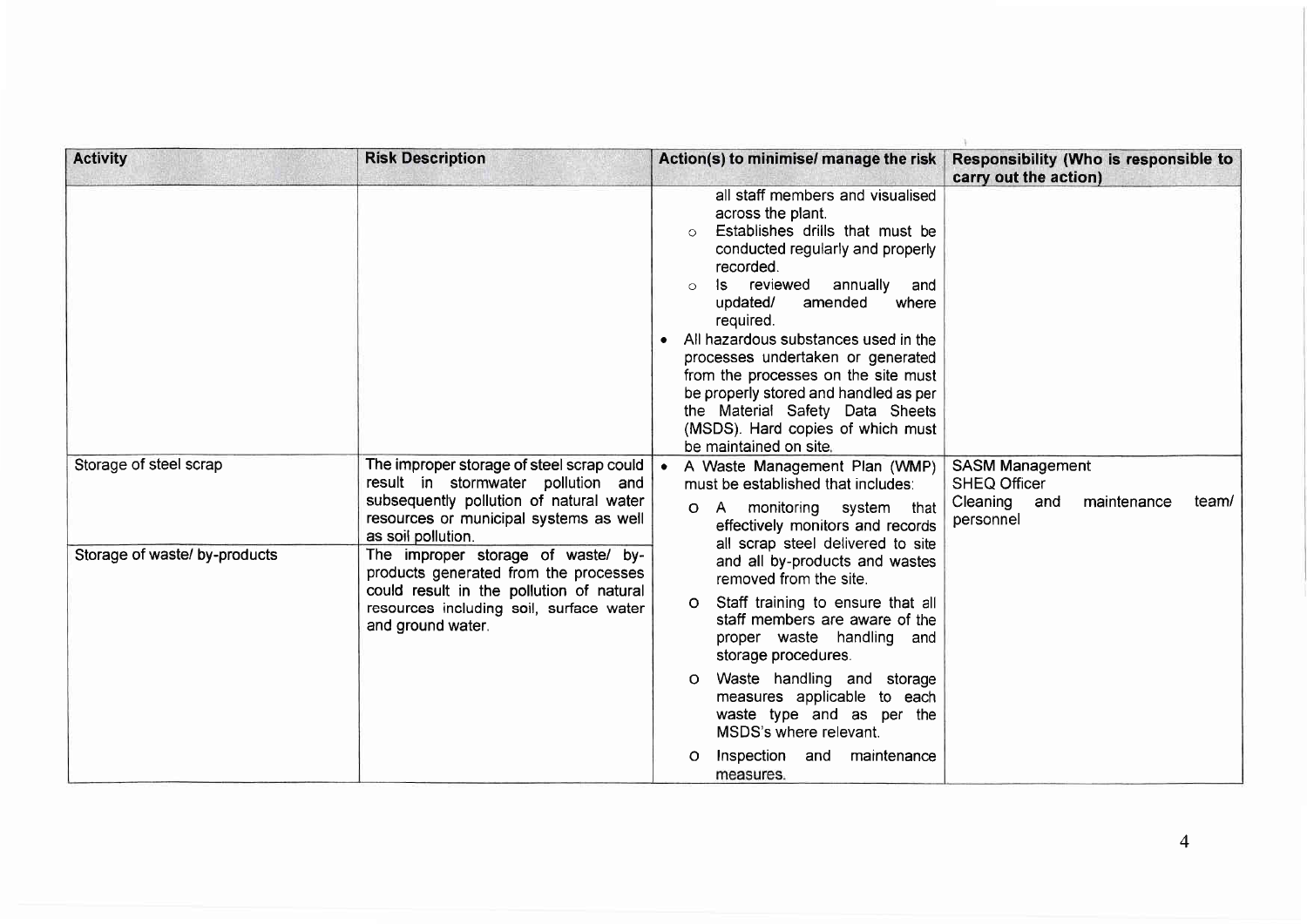| <b>Activity</b>                                                                                                                                                                                                                                | <b>Risk Description</b>                                                                                                                                              | Action(s) to minimise/ manage the risk                                                                                                                                                                                                                                                                                                                                                                                                                                                                        | Responsibility (Who is responsible to<br>carry out the action)                                     |
|------------------------------------------------------------------------------------------------------------------------------------------------------------------------------------------------------------------------------------------------|----------------------------------------------------------------------------------------------------------------------------------------------------------------------|---------------------------------------------------------------------------------------------------------------------------------------------------------------------------------------------------------------------------------------------------------------------------------------------------------------------------------------------------------------------------------------------------------------------------------------------------------------------------------------------------------------|----------------------------------------------------------------------------------------------------|
|                                                                                                                                                                                                                                                |                                                                                                                                                                      | all staff members and visualised<br>across the plant.<br>Establishes drills that must be<br>$\circ$<br>conducted regularly and properly<br>recorded.<br>Is reviewed<br>annually<br>and<br>$\circ$<br>amended<br>updated/<br>where<br>required.<br>All hazardous substances used in the<br>processes undertaken or generated<br>from the processes on the site must<br>be properly stored and handled as per<br>the Material Safety Data Sheets<br>(MSDS). Hard copies of which must<br>be maintained on site. |                                                                                                    |
| Storage of steel scrap                                                                                                                                                                                                                         | The improper storage of steel scrap could<br>result in stormwater pollution and<br>subsequently pollution of natural water<br>resources or municipal systems as well | • A Waste Management Plan (WMP)<br>must be established that includes:<br>monitoring system that<br>A,<br>O.<br>effectively monitors and records                                                                                                                                                                                                                                                                                                                                                               | <b>SASM Management</b><br><b>SHEQ Officer</b><br>Cleaning and<br>maintenance<br>team/<br>personnel |
| as soil pollution.<br>Storage of waste/ by-products<br>The improper storage of waste/ by-<br>products generated from the processes<br>could result in the pollution of natural<br>resources including soil, surface water<br>and ground water. |                                                                                                                                                                      | all scrap steel delivered to site<br>and all by-products and wastes<br>removed from the site.                                                                                                                                                                                                                                                                                                                                                                                                                 |                                                                                                    |
|                                                                                                                                                                                                                                                | Staff training to ensure that all<br>O.<br>staff members are aware of the<br>proper waste handling and<br>storage procedures.                                        |                                                                                                                                                                                                                                                                                                                                                                                                                                                                                                               |                                                                                                    |
|                                                                                                                                                                                                                                                | Waste handling and storage<br>O<br>measures applicable to each<br>waste type and as per the<br>MSDS's where relevant.                                                |                                                                                                                                                                                                                                                                                                                                                                                                                                                                                                               |                                                                                                    |
|                                                                                                                                                                                                                                                |                                                                                                                                                                      | Inspection and<br>maintenance<br>O<br>measures.                                                                                                                                                                                                                                                                                                                                                                                                                                                               |                                                                                                    |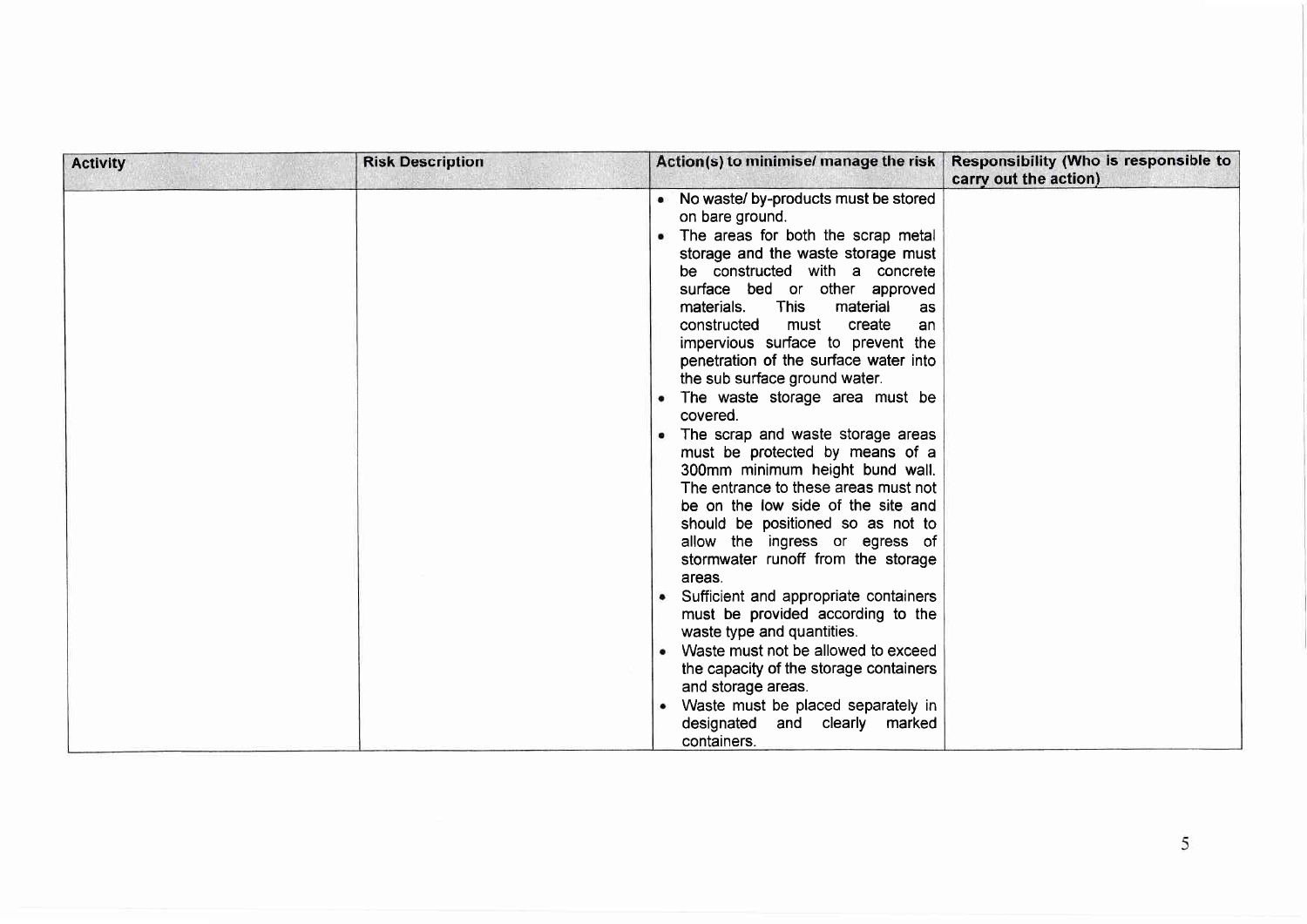| <b>Activity</b> | <b>Risk Description</b> |                                                                                                                                                                                                                                                                                                                                                                                                                                                                                                                                                                                                                                                                                                                                                                                                                                                                                                                                                                                                                 | Action(s) to minimise/ manage the risk   Responsibility (Who is responsible to<br>carry out the action) |
|-----------------|-------------------------|-----------------------------------------------------------------------------------------------------------------------------------------------------------------------------------------------------------------------------------------------------------------------------------------------------------------------------------------------------------------------------------------------------------------------------------------------------------------------------------------------------------------------------------------------------------------------------------------------------------------------------------------------------------------------------------------------------------------------------------------------------------------------------------------------------------------------------------------------------------------------------------------------------------------------------------------------------------------------------------------------------------------|---------------------------------------------------------------------------------------------------------|
|                 |                         | • No waste/ by-products must be stored<br>on bare ground.<br>• The areas for both the scrap metal<br>storage and the waste storage must<br>be constructed with a concrete<br>surface bed or other approved<br><b>This</b><br>material<br>materials.<br><b>as</b><br>create<br>constructed<br>must<br>an<br>impervious surface to prevent the<br>penetration of the surface water into<br>the sub surface ground water.<br>• The waste storage area must be<br>covered.<br>• The scrap and waste storage areas<br>must be protected by means of a<br>300mm minimum height bund wall.<br>The entrance to these areas must not<br>be on the low side of the site and<br>should be positioned so as not to<br>allow the ingress or egress of<br>stormwater runoff from the storage<br>areas.<br>• Sufficient and appropriate containers<br>must be provided according to the<br>waste type and quantities.<br>• Waste must not be allowed to exceed<br>the capacity of the storage containers<br>and storage areas. |                                                                                                         |
|                 |                         | • Waste must be placed separately in<br>designated<br>and clearly marked<br>containers.                                                                                                                                                                                                                                                                                                                                                                                                                                                                                                                                                                                                                                                                                                                                                                                                                                                                                                                         |                                                                                                         |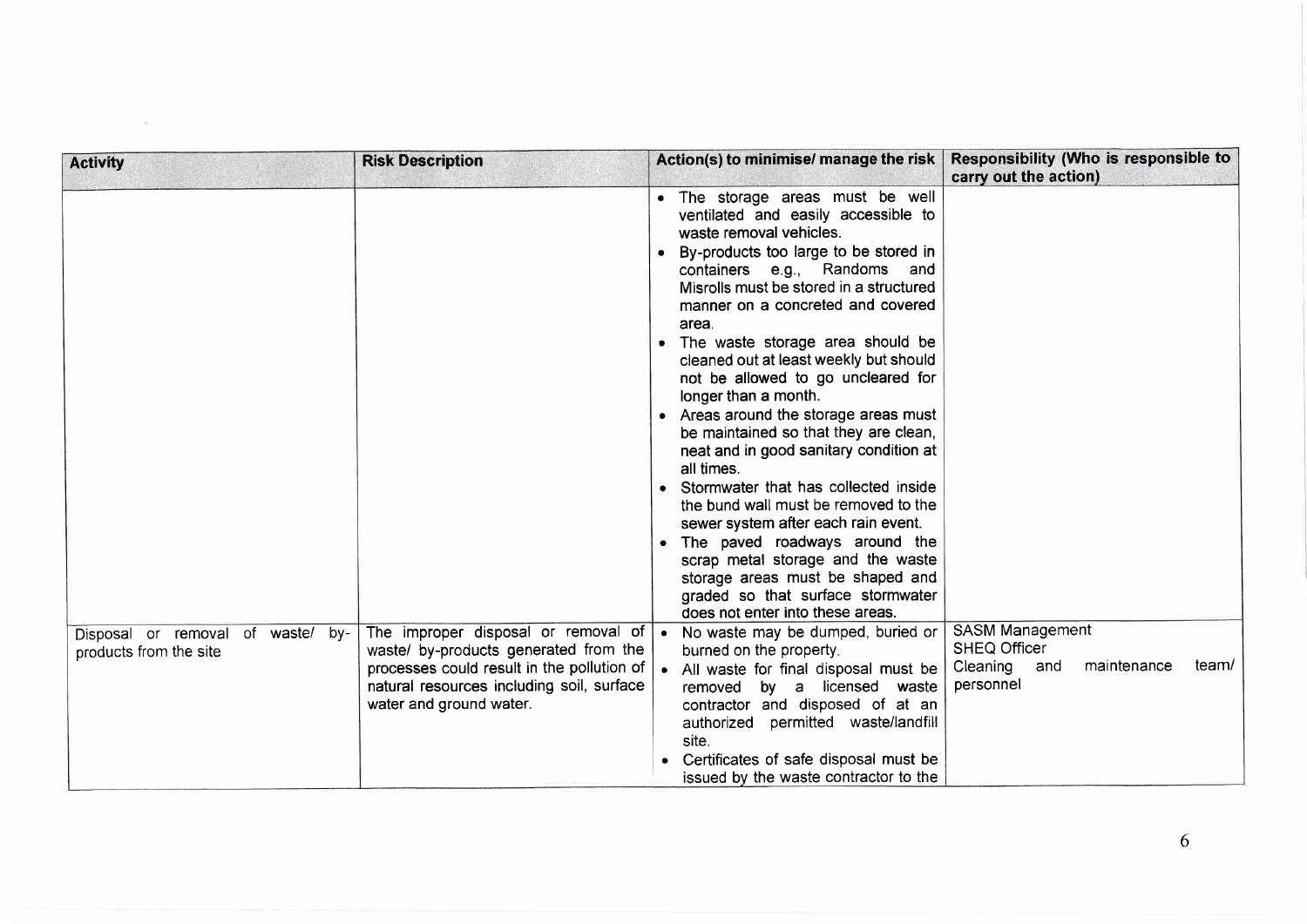| <b>Activity</b>                                             | <b>Risk Description</b>                                                                                                                                                                            | Action(s) to minimise/ manage the risk                                                                                                                                                                                                                                                                                                                                                                                                                                                                                                                                                                                                                                                                                                                                                                                                                                       | Responsibility (Who is responsible to<br>carry out the action)                                        |
|-------------------------------------------------------------|----------------------------------------------------------------------------------------------------------------------------------------------------------------------------------------------------|------------------------------------------------------------------------------------------------------------------------------------------------------------------------------------------------------------------------------------------------------------------------------------------------------------------------------------------------------------------------------------------------------------------------------------------------------------------------------------------------------------------------------------------------------------------------------------------------------------------------------------------------------------------------------------------------------------------------------------------------------------------------------------------------------------------------------------------------------------------------------|-------------------------------------------------------------------------------------------------------|
|                                                             |                                                                                                                                                                                                    | . The storage areas must be well<br>ventilated and easily accessible to<br>waste removal vehicles.<br>• By-products too large to be stored in<br>containers e.g., Randoms and<br>Misrolls must be stored in a structured<br>manner on a concreted and covered<br>area.<br>• The waste storage area should be<br>cleaned out at least weekly but should<br>not be allowed to go uncleared for<br>longer than a month.<br>• Areas around the storage areas must<br>be maintained so that they are clean,<br>neat and in good sanitary condition at<br>all times.<br>• Stormwater that has collected inside<br>the bund wall must be removed to the<br>sewer system after each rain event.<br>• The paved roadways around the<br>scrap metal storage and the waste<br>storage areas must be shaped and<br>graded so that surface stormwater<br>does not enter into these areas. |                                                                                                       |
| Disposal or removal of waste/ by-<br>products from the site | The improper disposal or removal of<br>waste/ by-products generated from the<br>processes could result in the pollution of<br>natural resources including soil, surface<br>water and ground water. | • No waste may be dumped, buried or<br>burned on the property.<br>• All waste for final disposal must be<br>by a licensed waste<br>removed<br>contractor and disposed of at an<br>authorized permitted waste/landfill<br>site.<br>• Certificates of safe disposal must be<br>issued by the waste contractor to the                                                                                                                                                                                                                                                                                                                                                                                                                                                                                                                                                           | <b>SASM Management</b><br><b>SHEQ Officer</b><br>Cleaning<br>maintenance<br>team/<br>and<br>personnel |

 $\sim 10^{-10}$  km s  $^{-1}$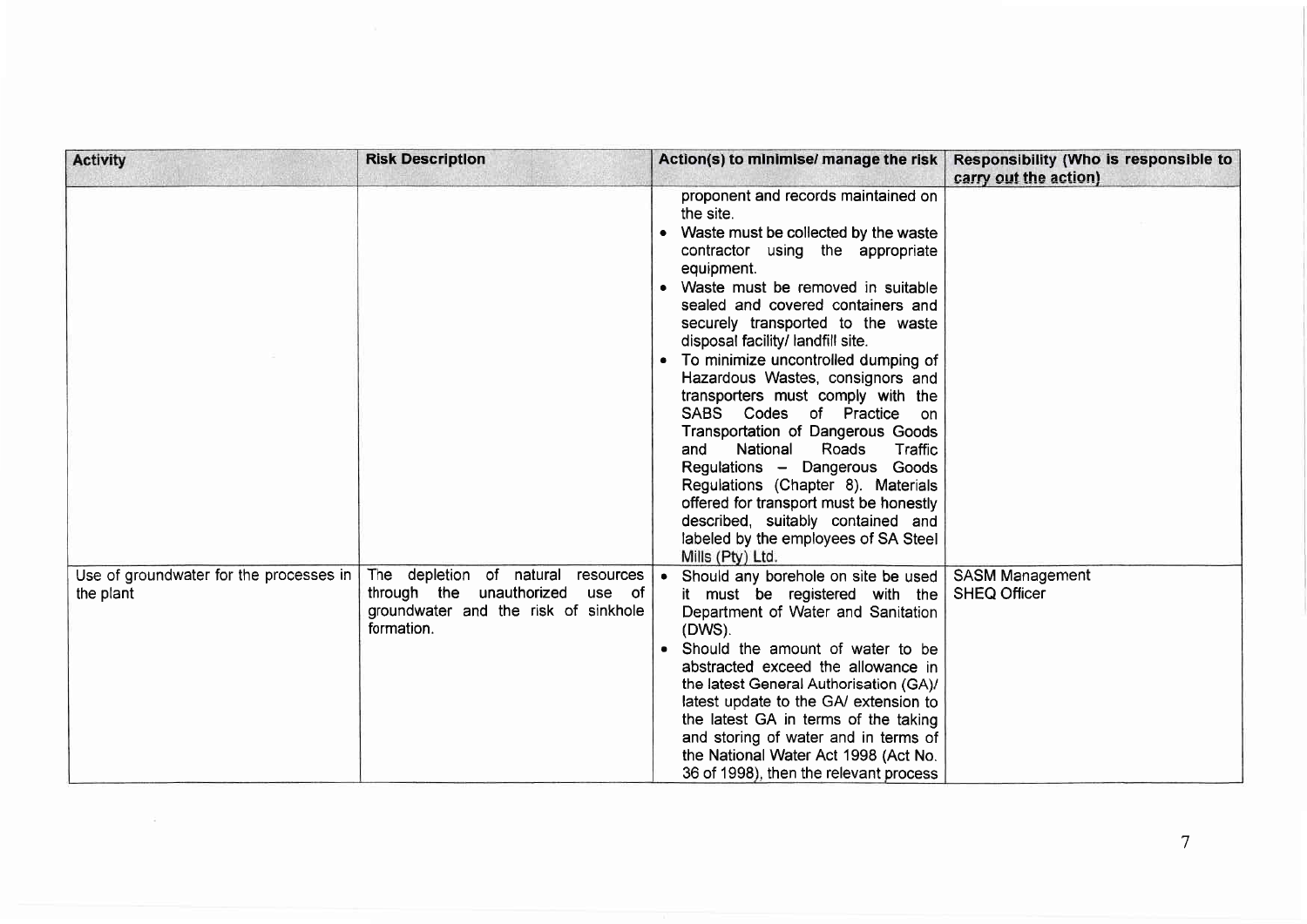| <b>Activity</b>                                      | <b>Risk Description</b>                                                                                                           | Action(s) to minimise/ manage the risk                                                                                                                                                                                                                                                                                                                                                                                                                                                                                                                                                                                                                                                                                                          | Responsibility (Who is responsible to<br>carry out the action) |
|------------------------------------------------------|-----------------------------------------------------------------------------------------------------------------------------------|-------------------------------------------------------------------------------------------------------------------------------------------------------------------------------------------------------------------------------------------------------------------------------------------------------------------------------------------------------------------------------------------------------------------------------------------------------------------------------------------------------------------------------------------------------------------------------------------------------------------------------------------------------------------------------------------------------------------------------------------------|----------------------------------------------------------------|
|                                                      |                                                                                                                                   | proponent and records maintained on<br>the site.<br>• Waste must be collected by the waste<br>contractor using the appropriate<br>equipment.<br>• Waste must be removed in suitable<br>sealed and covered containers and<br>securely transported to the waste<br>disposal facility/ landfill site.<br>• To minimize uncontrolled dumping of<br>Hazardous Wastes, consignors and<br>transporters must comply with the<br>SABS Codes of Practice on<br>Transportation of Dangerous Goods<br>National<br>and<br>Roads<br>Traffic<br>Regulations - Dangerous Goods<br>Regulations (Chapter 8). Materials<br>offered for transport must be honestly<br>described, suitably contained and<br>labeled by the employees of SA Steel<br>Mills (Pty) Ltd. |                                                                |
| Use of groundwater for the processes in<br>the plant | The depletion of natural<br>resources<br>through the unauthorized<br>use of<br>groundwater and the risk of sinkhole<br>formation. | • Should any borehole on site be used<br>it must be registered with the<br>Department of Water and Sanitation<br>(DWS).<br>• Should the amount of water to be<br>abstracted exceed the allowance in<br>the latest General Authorisation (GA)/<br>latest update to the GA/ extension to<br>the latest GA in terms of the taking<br>and storing of water and in terms of<br>the National Water Act 1998 (Act No.<br>36 of 1998), then the relevant process                                                                                                                                                                                                                                                                                        | SASM Management<br><b>SHEQ Officer</b>                         |

 $\mathcal{A}=\mathcal{A}$  , and  $\mathcal{A}=\mathcal{A}$  , and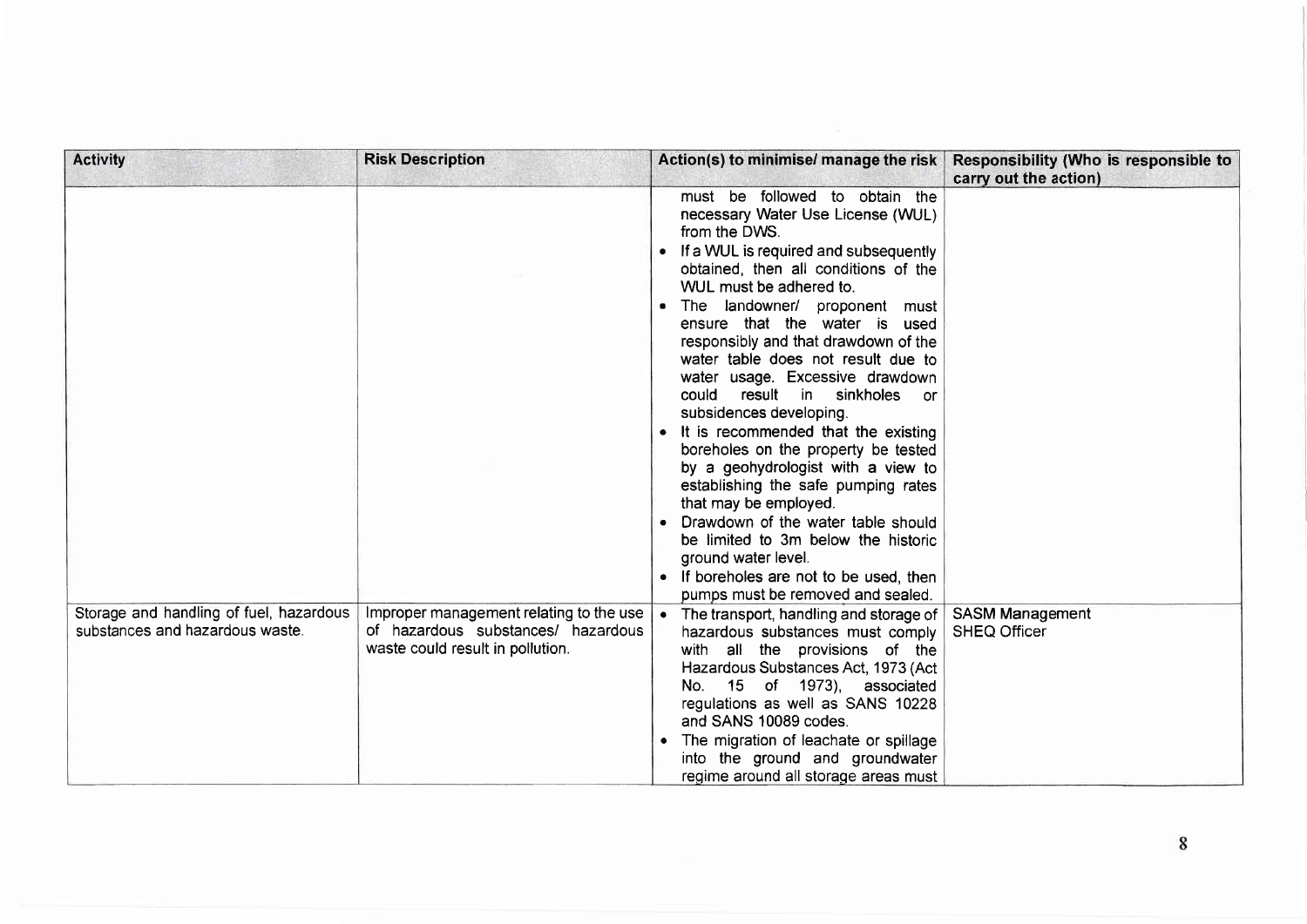| <b>Activity</b>                                                            | <b>Risk Description</b>                                                                                           | Action(s) to minimise/ manage the risk                                                                                                                                                                                                                                                                                                                                                                                                                                                                                                                                                                                                                                                                                                                                                                                            | Responsibility (Who is responsible to<br>carry out the action) |
|----------------------------------------------------------------------------|-------------------------------------------------------------------------------------------------------------------|-----------------------------------------------------------------------------------------------------------------------------------------------------------------------------------------------------------------------------------------------------------------------------------------------------------------------------------------------------------------------------------------------------------------------------------------------------------------------------------------------------------------------------------------------------------------------------------------------------------------------------------------------------------------------------------------------------------------------------------------------------------------------------------------------------------------------------------|----------------------------------------------------------------|
|                                                                            |                                                                                                                   | must be followed to obtain the<br>necessary Water Use License (WUL)<br>from the DWS.<br>• If a WUL is required and subsequently<br>obtained, then all conditions of the<br>WUL must be adhered to.<br>. The landowner/ proponent must<br>ensure that the water is used<br>responsibly and that drawdown of the<br>water table does not result due to<br>water usage. Excessive drawdown<br>could result in sinkholes<br>or<br>subsidences developing.<br>• It is recommended that the existing<br>boreholes on the property be tested<br>by a geohydrologist with a view to<br>establishing the safe pumping rates<br>that may be employed.<br>• Drawdown of the water table should<br>be limited to 3m below the historic<br>ground water level.<br>• If boreholes are not to be used, then<br>pumps must be removed and sealed. |                                                                |
| Storage and handling of fuel, hazardous<br>substances and hazardous waste. | Improper management relating to the use<br>of hazardous substances/ hazardous<br>waste could result in pollution. | • The transport, handling and storage of<br>hazardous substances must comply<br>with all the provisions of the<br>Hazardous Substances Act, 1973 (Act<br>15 of 1973), associated<br>No.<br>regulations as well as SANS 10228<br>and SANS 10089 codes.<br>The migration of leachate or spillage<br>into the ground and groundwater<br>regime around all storage areas must                                                                                                                                                                                                                                                                                                                                                                                                                                                         | <b>SASM Management</b><br><b>SHEQ Officer</b>                  |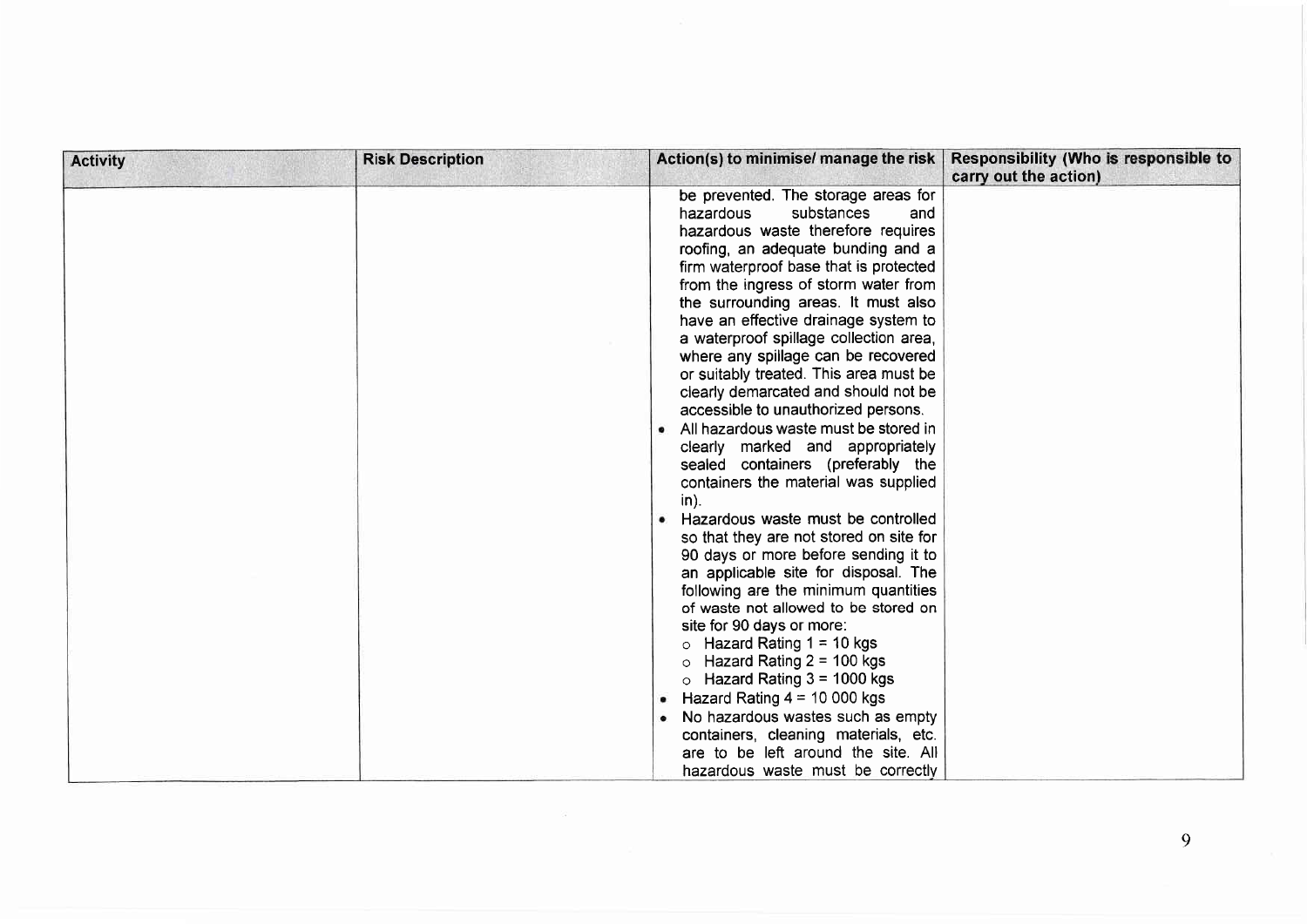| <b>Activity</b> | <b>Risk Description</b> | Action(s) to minimise/ manage the risk                                                                                                                                                                                                                                                                                                                                                                                                                                                                                                                                                                                                                                                                                                                                                                                                                                                                                                                                                                                                                                                                                                                                                                                                                                                                 | Responsibility (Who is responsible to<br>carry out the action) |
|-----------------|-------------------------|--------------------------------------------------------------------------------------------------------------------------------------------------------------------------------------------------------------------------------------------------------------------------------------------------------------------------------------------------------------------------------------------------------------------------------------------------------------------------------------------------------------------------------------------------------------------------------------------------------------------------------------------------------------------------------------------------------------------------------------------------------------------------------------------------------------------------------------------------------------------------------------------------------------------------------------------------------------------------------------------------------------------------------------------------------------------------------------------------------------------------------------------------------------------------------------------------------------------------------------------------------------------------------------------------------|----------------------------------------------------------------|
|                 |                         | be prevented. The storage areas for<br>substances<br>hazardous<br>and<br>hazardous waste therefore requires<br>roofing, an adequate bunding and a<br>firm waterproof base that is protected<br>from the ingress of storm water from<br>the surrounding areas. It must also<br>have an effective drainage system to<br>a waterproof spillage collection area,<br>where any spillage can be recovered<br>or suitably treated. This area must be<br>clearly demarcated and should not be<br>accessible to unauthorized persons.<br>All hazardous waste must be stored in<br>clearly marked and appropriately<br>sealed containers (preferably the<br>containers the material was supplied<br>$in$ ).<br>• Hazardous waste must be controlled<br>so that they are not stored on site for<br>90 days or more before sending it to<br>an applicable site for disposal. The<br>following are the minimum quantities<br>of waste not allowed to be stored on<br>site for 90 days or more:<br>Hazard Rating $1 = 10$ kgs<br>$\circ$<br>Hazard Rating $2 = 100$ kgs<br>$\circ$<br>$\circ$ Hazard Rating 3 = 1000 kgs<br>• Hazard Rating $4 = 10000$ kgs<br>No hazardous wastes such as empty<br>containers, cleaning materials, etc.<br>are to be left around the site. All<br>hazardous waste must be correctly |                                                                |

 $\alpha$  and  $\alpha$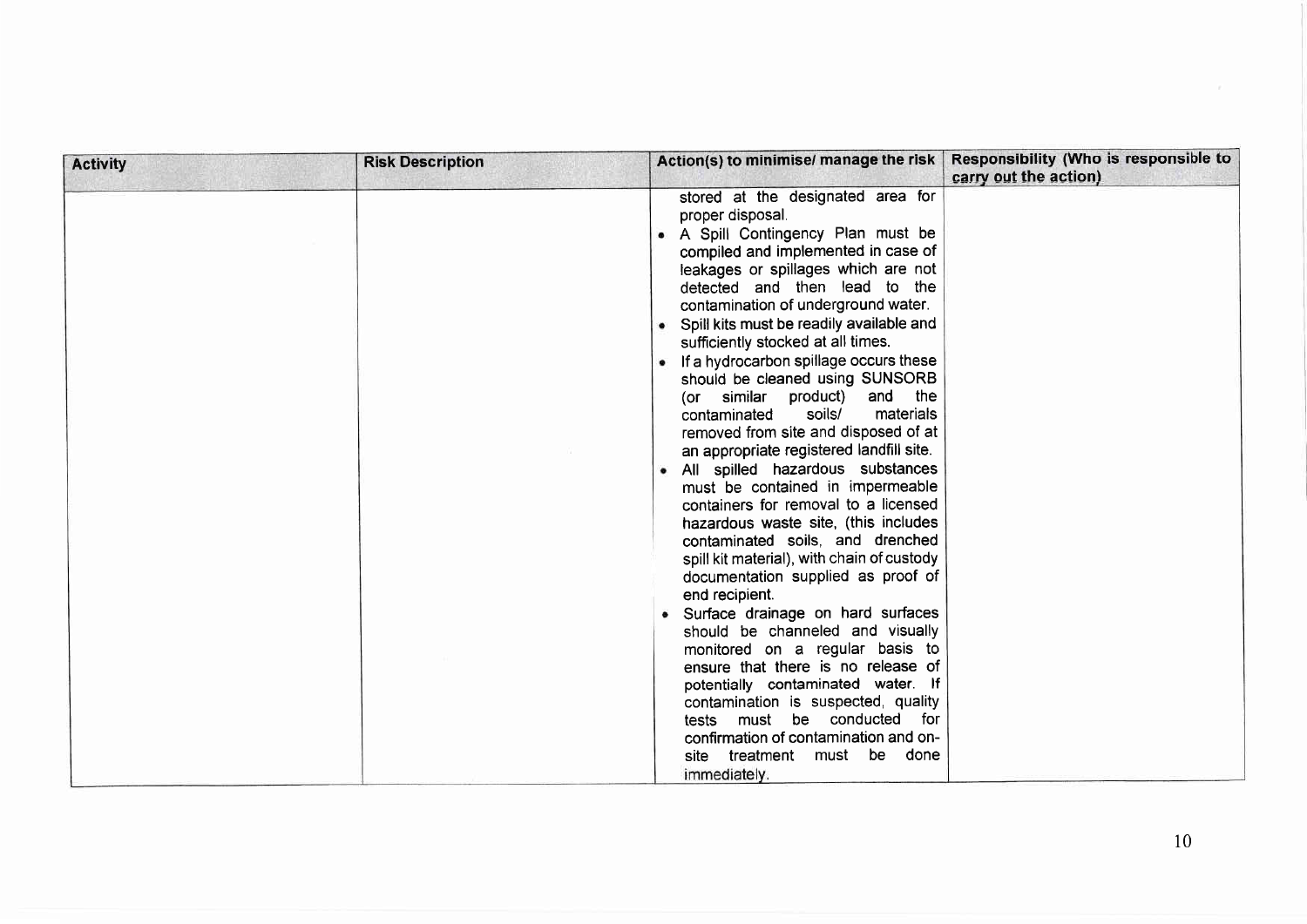| <b>Activity</b> | <b>Risk Description</b> |                                                                                                                                                                                                                                                                                                                                                                                                                                                                                                                                                                                                                                                                                                                                                                                                                                                                                                                                                                                                                                                                                                                                                                                                                                                 | Action(s) to minimise/ manage the risk   Responsibility (Who is responsible to<br>carry out the action) |
|-----------------|-------------------------|-------------------------------------------------------------------------------------------------------------------------------------------------------------------------------------------------------------------------------------------------------------------------------------------------------------------------------------------------------------------------------------------------------------------------------------------------------------------------------------------------------------------------------------------------------------------------------------------------------------------------------------------------------------------------------------------------------------------------------------------------------------------------------------------------------------------------------------------------------------------------------------------------------------------------------------------------------------------------------------------------------------------------------------------------------------------------------------------------------------------------------------------------------------------------------------------------------------------------------------------------|---------------------------------------------------------------------------------------------------------|
|                 |                         | stored at the designated area for<br>proper disposal.<br>A Spill Contingency Plan must be<br>compiled and implemented in case of<br>leakages or spillages which are not<br>detected and then lead to the<br>contamination of underground water.<br>• Spill kits must be readily available and<br>sufficiently stocked at all times.<br>• If a hydrocarbon spillage occurs these<br>should be cleaned using SUNSORB<br>similar product) and the<br>(or<br>soils/<br>materials<br>contaminated<br>removed from site and disposed of at<br>an appropriate registered landfill site.<br>• All spilled hazardous substances<br>must be contained in impermeable<br>containers for removal to a licensed<br>hazardous waste site, (this includes<br>contaminated soils, and drenched<br>spill kit material), with chain of custody<br>documentation supplied as proof of<br>end recipient.<br>• Surface drainage on hard surfaces<br>should be channeled and visually<br>monitored on a regular basis to<br>ensure that there is no release of<br>potentially contaminated water. If<br>contamination is suspected, quality<br>tests must be conducted for<br>confirmation of contamination and on-<br>treatment must be done<br>site<br>immediately. |                                                                                                         |

 $\sim$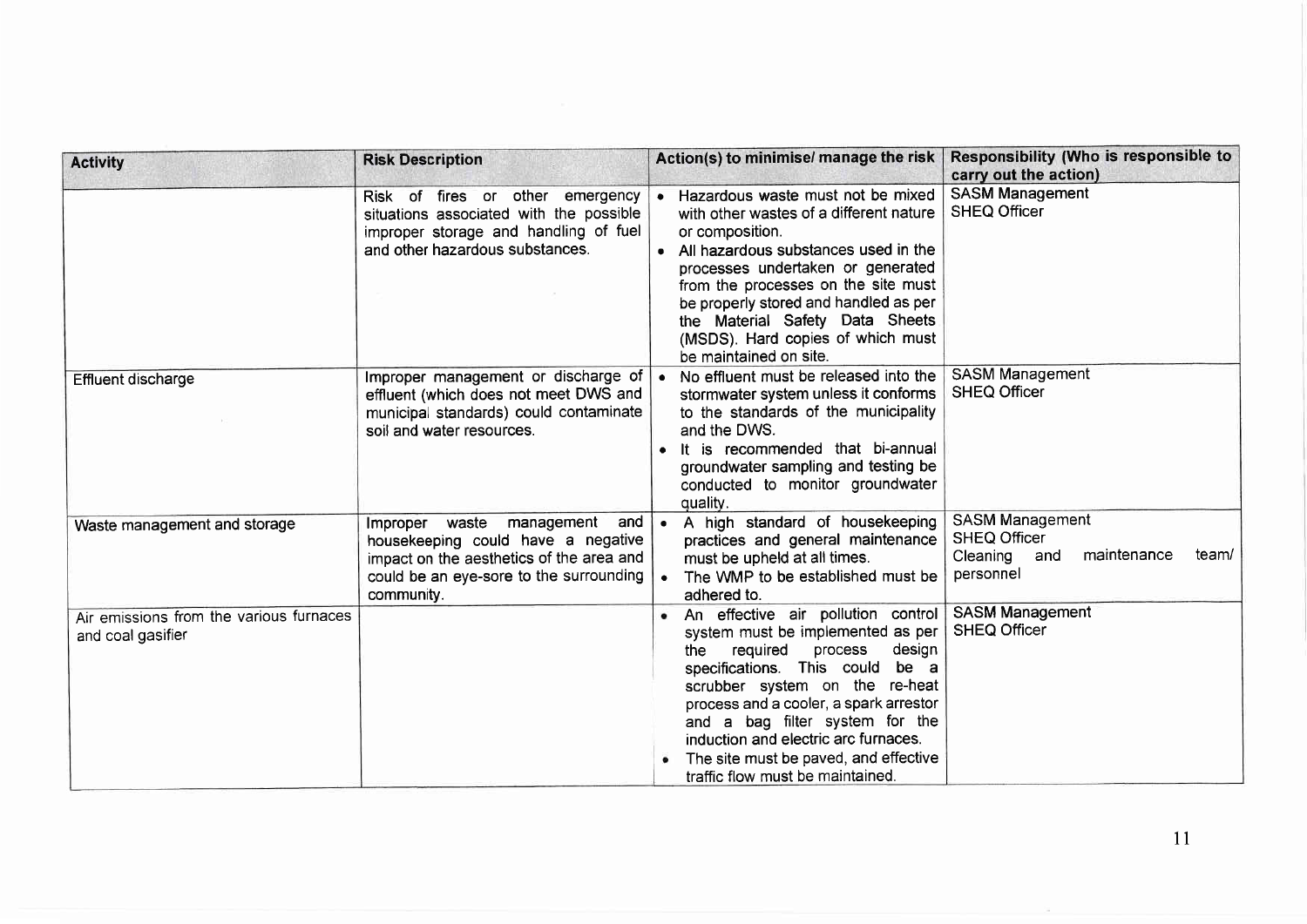| <b>Activity</b>                                              | <b>Risk Description</b>                                                                                                                                                           | Action(s) to minimise/ manage the risk                                                                                                                                                                                                                                                                                                                                                 | Responsibility (Who is responsible to<br>carry out the action)                                        |
|--------------------------------------------------------------|-----------------------------------------------------------------------------------------------------------------------------------------------------------------------------------|----------------------------------------------------------------------------------------------------------------------------------------------------------------------------------------------------------------------------------------------------------------------------------------------------------------------------------------------------------------------------------------|-------------------------------------------------------------------------------------------------------|
|                                                              | Risk of fires or other emergency<br>situations associated with the possible<br>improper storage and handling of fuel<br>and other hazardous substances.                           | • Hazardous waste must not be mixed<br>with other wastes of a different nature<br>or composition.<br>• All hazardous substances used in the<br>processes undertaken or generated<br>from the processes on the site must<br>be properly stored and handled as per<br>the Material Safety Data Sheets<br>(MSDS). Hard copies of which must<br>be maintained on site.                     | <b>SASM Management</b><br><b>SHEQ Officer</b>                                                         |
| <b>Effluent discharge</b>                                    | Improper management or discharge of<br>effluent (which does not meet DWS and<br>municipal standards) could contaminate<br>soil and water resources.                               | • No effluent must be released into the<br>stormwater system unless it conforms<br>to the standards of the municipality<br>and the DWS.<br>• It is recommended that bi-annual<br>groundwater sampling and testing be<br>conducted to monitor groundwater<br>quality.                                                                                                                   | <b>SASM Management</b><br><b>SHEQ Officer</b>                                                         |
| Waste management and storage                                 | management<br>and<br>Improper<br>waste<br>housekeeping could have a negative<br>impact on the aesthetics of the area and<br>could be an eye-sore to the surrounding<br>community. | A high standard of housekeeping<br>$\bullet$<br>practices and general maintenance<br>must be upheld at all times.<br>The WMP to be established must be<br>adhered to.                                                                                                                                                                                                                  | <b>SASM Management</b><br><b>SHEQ Officer</b><br>maintenance<br>Cleaning<br>team/<br>and<br>personnel |
| Air emissions from the various furnaces<br>and coal gasifier |                                                                                                                                                                                   | An effective air pollution control<br>system must be implemented as per<br>required<br>design<br>process<br>the<br>specifications. This could be a<br>scrubber system on the re-heat<br>process and a cooler, a spark arrestor<br>and a bag filter system for the<br>induction and electric arc furnaces.<br>The site must be paved, and effective<br>traffic flow must be maintained. | <b>SASM Management</b><br><b>SHEQ Officer</b>                                                         |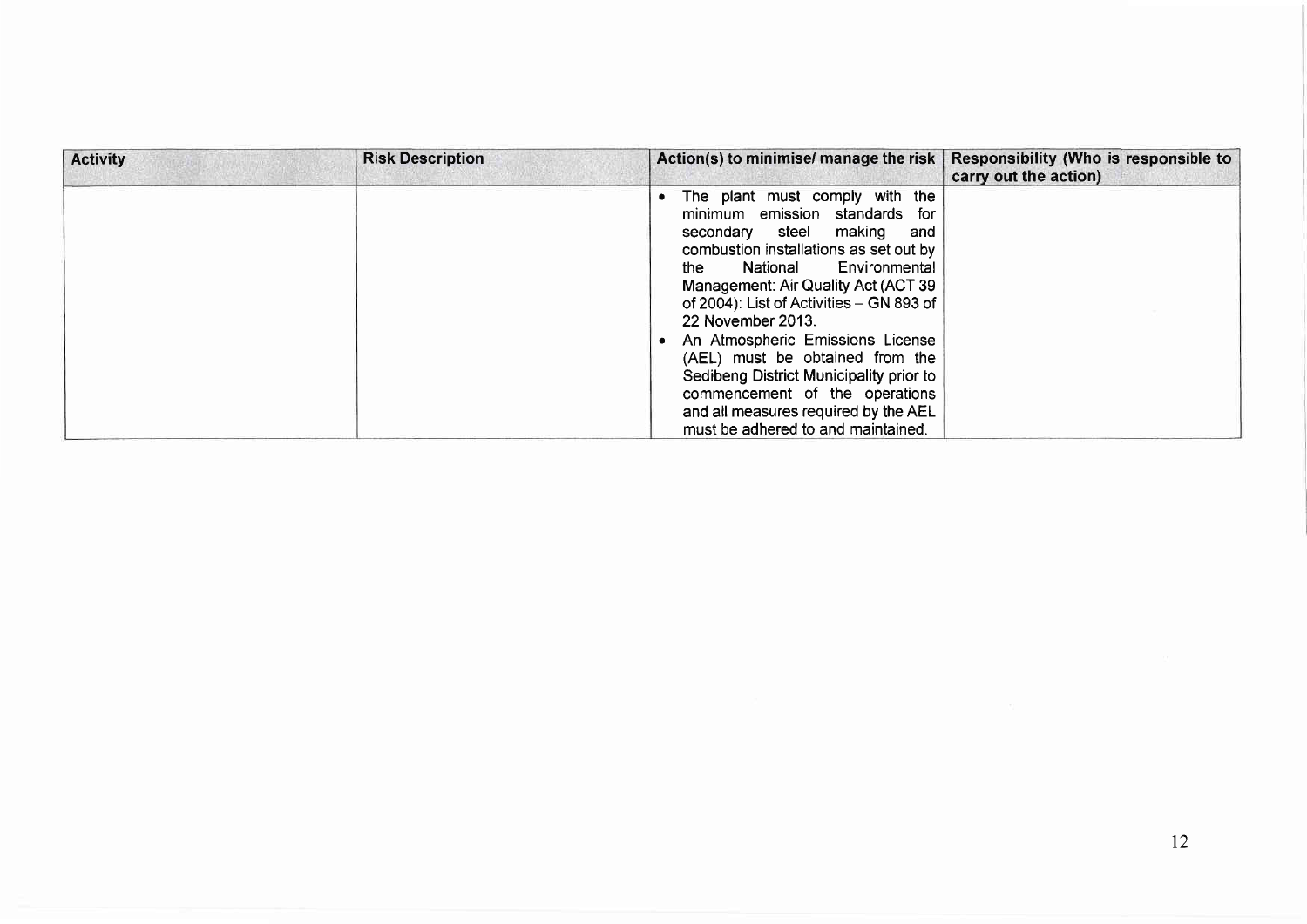| <b>Activity</b> | <b>Risk Description</b> | Action(s) to minimise/ manage the risk                                                                                                                                                                                                                                                                                                                                                                                                                                                                                    | Responsibility (Who is responsible to<br>carry out the action) |
|-----------------|-------------------------|---------------------------------------------------------------------------------------------------------------------------------------------------------------------------------------------------------------------------------------------------------------------------------------------------------------------------------------------------------------------------------------------------------------------------------------------------------------------------------------------------------------------------|----------------------------------------------------------------|
|                 |                         | The plant must comply with the<br>minimum emission standards for<br>secondary steel making<br>and<br>combustion installations as set out by<br>Environmental<br>National<br>the<br>Management: Air Quality Act (ACT 39<br>of 2004): List of Activities - GN 893 of<br>22 November 2013.<br>An Atmospheric Emissions License<br>(AEL) must be obtained from the<br>Sedibeng District Municipality prior to<br>commencement of the operations<br>and all measures required by the AEL<br>must be adhered to and maintained. |                                                                |